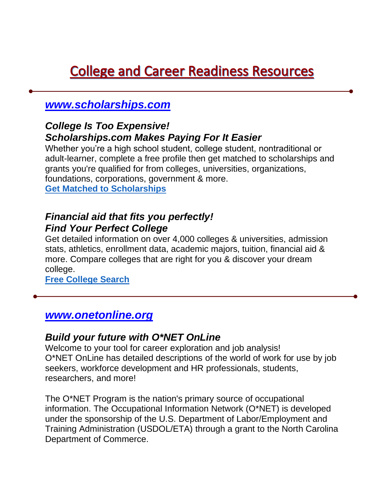# **College and Career Readiness Resources**

## *www.scholarships.com*

#### *College Is Too Expensive! Scholarships.com Makes Paying For It Easier*

Whether you're a high school student, college student, nontraditional or adult-learner, complete a free profile then get matched to scholarships and grants you're qualified for from colleges, universities, organizations, foundations, corporations, government & more. **Get Matched to Scholarships**

### *Financial aid that fits you perfectly! Find Your Perfect College*

Get detailed information on over 4,000 colleges & universities, admission stats, athletics, enrollment data, academic majors, tuition, financial aid & more. Compare colleges that are right for you & discover your dream college.

**Free College Search**

### *www.onetonline.org*

#### *Build your future with O\*NET OnLine*

Welcome to your tool for career exploration and job analysis! O\*NET OnLine has detailed descriptions of the world of work for use by job seekers, workforce development and HR professionals, students, researchers, and more!

The O\*NET Program is the nation's primary source of occupational information. The Occupational Information Network (O\*NET) is developed under the sponsorship of the U.S. Department of Labor/Employment and Training Administration (USDOL/ETA) through a grant to the North Carolina Department of Commerce.